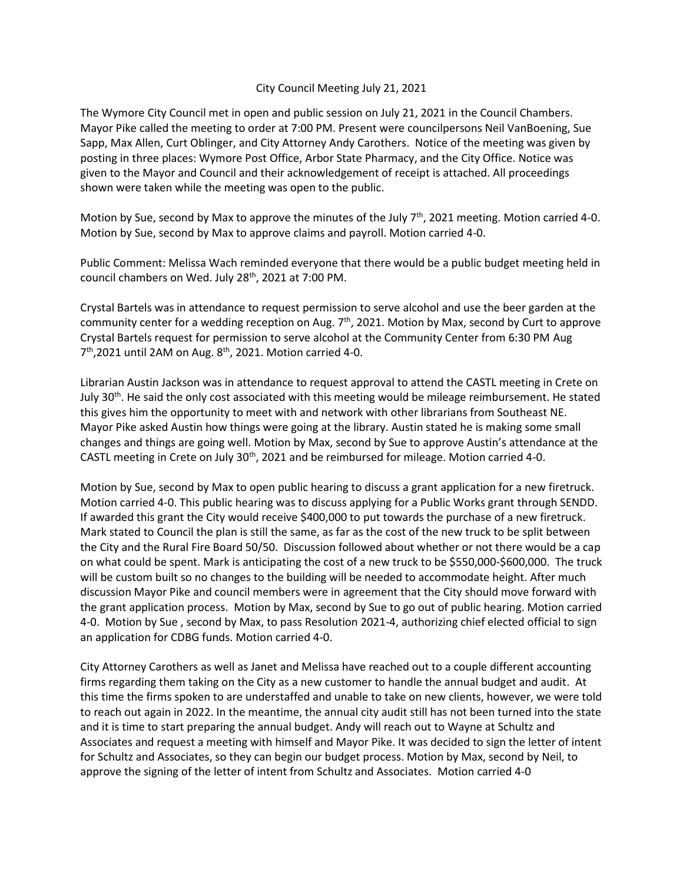## City Council Meeting July 21, 2021

The Wymore City Council met in open and public session on July 21, 2021 in the Council Chambers. Mayor Pike called the meeting to order at 7:00 PM. Present were councilpersons Neil VanBoening, Sue Sapp, Max Allen, Curt Oblinger, and City Attorney Andy Carothers. Notice of the meeting was given by posting in three places: Wymore Post Office, Arbor State Pharmacy, and the City Office. Notice was given to the Mayor and Council and their acknowledgement of receipt is attached. All proceedings shown were taken while the meeting was open to the public.

Motion by Sue, second by Max to approve the minutes of the July  $7<sup>th</sup>$ , 2021 meeting. Motion carried 4-0. Motion by Sue, second by Max to approve claims and payroll. Motion carried 4-0.

Public Comment: Melissa Wach reminded everyone that there would be a public budget meeting held in council chambers on Wed. July 28<sup>th</sup>, 2021 at 7:00 PM.

Crystal Bartels was in attendance to request permission to serve alcohol and use the beer garden at the community center for a wedding reception on Aug.  $7<sup>th</sup>$ , 2021. Motion by Max, second by Curt to approve Crystal Bartels request for permission to serve alcohol at the Community Center from 6:30 PM Aug  $7<sup>th</sup>$ ,2021 until 2AM on Aug.  $8<sup>th</sup>$ , 2021. Motion carried 4-0.

Librarian Austin Jackson was in attendance to request approval to attend the CASTL meeting in Crete on July 30<sup>th</sup>. He said the only cost associated with this meeting would be mileage reimbursement. He stated this gives him the opportunity to meet with and network with other librarians from Southeast NE. Mayor Pike asked Austin how things were going at the library. Austin stated he is making some small changes and things are going well. Motion by Max, second by Sue to approve Austin's attendance at the CASTL meeting in Crete on July  $30<sup>th</sup>$ , 2021 and be reimbursed for mileage. Motion carried 4-0.

Motion by Sue, second by Max to open public hearing to discuss a grant application for a new firetruck. Motion carried 4-0. This public hearing was to discuss applying for a Public Works grant through SENDD. If awarded this grant the City would receive \$400,000 to put towards the purchase of a new firetruck. Mark stated to Council the plan is still the same, as far as the cost of the new truck to be split between the City and the Rural Fire Board 50/50. Discussion followed about whether or not there would be a cap on what could be spent. Mark is anticipating the cost of a new truck to be \$550,000-\$600,000. The truck will be custom built so no changes to the building will be needed to accommodate height. After much discussion Mayor Pike and council members were in agreement that the City should move forward with the grant application process. Motion by Max, second by Sue to go out of public hearing. Motion carried 4-0. Motion by Sue , second by Max, to pass Resolution 2021-4, authorizing chief elected official to sign an application for CDBG funds. Motion carried 4-0.

City Attorney Carothers as well as Janet and Melissa have reached out to a couple different accounting firms regarding them taking on the City as a new customer to handle the annual budget and audit. At this time the firms spoken to are understaffed and unable to take on new clients, however, we were told to reach out again in 2022. In the meantime, the annual city audit still has not been turned into the state and it is time to start preparing the annual budget. Andy will reach out to Wayne at Schultz and Associates and request a meeting with himself and Mayor Pike. It was decided to sign the letter of intent for Schultz and Associates, so they can begin our budget process. Motion by Max, second by Neil, to approve the signing of the letter of intent from Schultz and Associates. Motion carried 4-0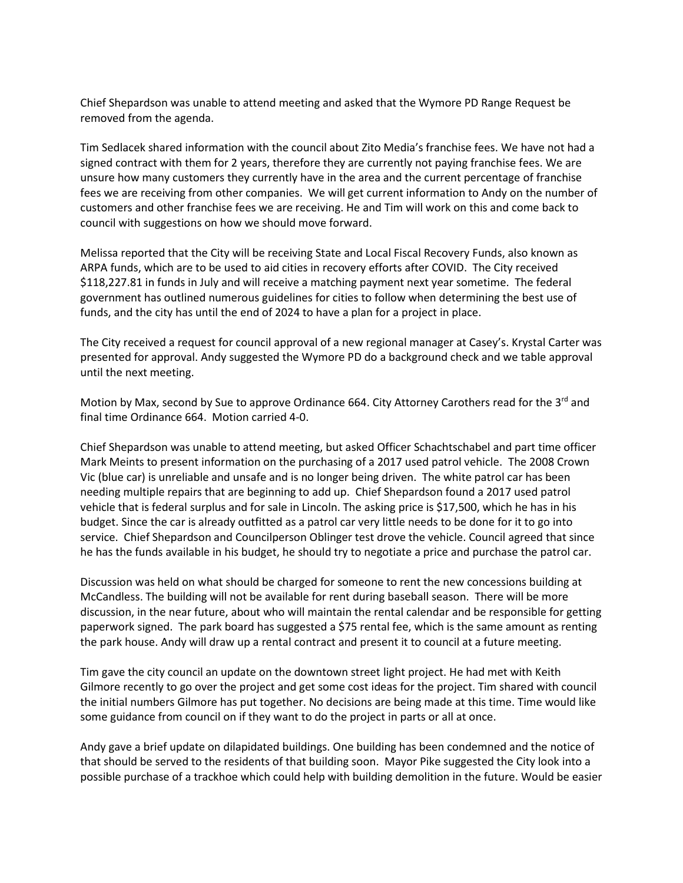Chief Shepardson was unable to attend meeting and asked that the Wymore PD Range Request be removed from the agenda.

Tim Sedlacek shared information with the council about Zito Media's franchise fees. We have not had a signed contract with them for 2 years, therefore they are currently not paying franchise fees. We are unsure how many customers they currently have in the area and the current percentage of franchise fees we are receiving from other companies. We will get current information to Andy on the number of customers and other franchise fees we are receiving. He and Tim will work on this and come back to council with suggestions on how we should move forward.

Melissa reported that the City will be receiving State and Local Fiscal Recovery Funds, also known as ARPA funds, which are to be used to aid cities in recovery efforts after COVID. The City received \$118,227.81 in funds in July and will receive a matching payment next year sometime. The federal government has outlined numerous guidelines for cities to follow when determining the best use of funds, and the city has until the end of 2024 to have a plan for a project in place.

The City received a request for council approval of a new regional manager at Casey's. Krystal Carter was presented for approval. Andy suggested the Wymore PD do a background check and we table approval until the next meeting.

Motion by Max, second by Sue to approve Ordinance 664. City Attorney Carothers read for the  $3^{rd}$  and final time Ordinance 664. Motion carried 4-0.

Chief Shepardson was unable to attend meeting, but asked Officer Schachtschabel and part time officer Mark Meints to present information on the purchasing of a 2017 used patrol vehicle. The 2008 Crown Vic (blue car) is unreliable and unsafe and is no longer being driven. The white patrol car has been needing multiple repairs that are beginning to add up. Chief Shepardson found a 2017 used patrol vehicle that is federal surplus and for sale in Lincoln. The asking price is \$17,500, which he has in his budget. Since the car is already outfitted as a patrol car very little needs to be done for it to go into service. Chief Shepardson and Councilperson Oblinger test drove the vehicle. Council agreed that since he has the funds available in his budget, he should try to negotiate a price and purchase the patrol car.

Discussion was held on what should be charged for someone to rent the new concessions building at McCandless. The building will not be available for rent during baseball season. There will be more discussion, in the near future, about who will maintain the rental calendar and be responsible for getting paperwork signed. The park board has suggested a \$75 rental fee, which is the same amount as renting the park house. Andy will draw up a rental contract and present it to council at a future meeting.

Tim gave the city council an update on the downtown street light project. He had met with Keith Gilmore recently to go over the project and get some cost ideas for the project. Tim shared with council the initial numbers Gilmore has put together. No decisions are being made at this time. Time would like some guidance from council on if they want to do the project in parts or all at once.

Andy gave a brief update on dilapidated buildings. One building has been condemned and the notice of that should be served to the residents of that building soon. Mayor Pike suggested the City look into a possible purchase of a trackhoe which could help with building demolition in the future. Would be easier